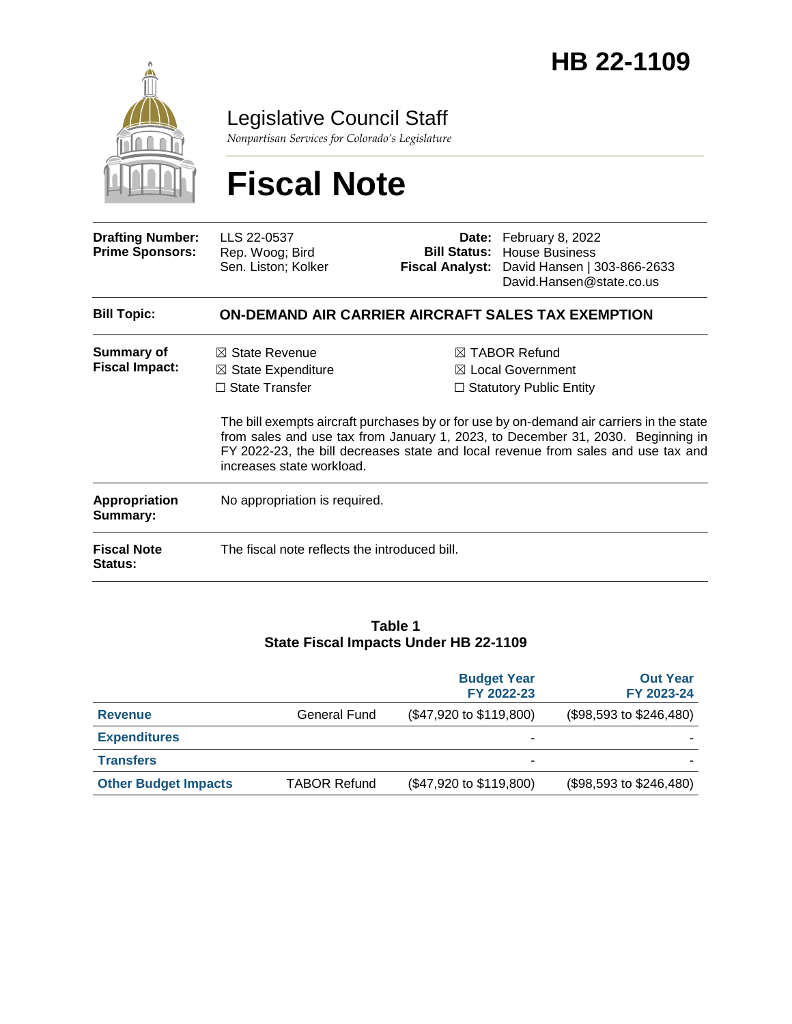

Legislative Council Staff

*Nonpartisan Services for Colorado's Legislature*

# **Fiscal Note**

| <b>Drafting Number:</b><br><b>Prime Sponsors:</b> | LLS 22-0537<br>Rep. Woog; Bird<br>Sen. Liston; Kolker                                                            | <b>Bill Status:</b><br><b>Fiscal Analyst:</b> | Date: February 8, 2022<br><b>House Business</b><br>David Hansen   303-866-2633<br>David.Hansen@state.co.us                                                                                                                                                                                                                                                     |  |  |  |
|---------------------------------------------------|------------------------------------------------------------------------------------------------------------------|-----------------------------------------------|----------------------------------------------------------------------------------------------------------------------------------------------------------------------------------------------------------------------------------------------------------------------------------------------------------------------------------------------------------------|--|--|--|
| <b>Bill Topic:</b>                                | ON-DEMAND AIR CARRIER AIRCRAFT SALES TAX EXEMPTION                                                               |                                               |                                                                                                                                                                                                                                                                                                                                                                |  |  |  |
| <b>Summary of</b><br><b>Fiscal Impact:</b>        | $\boxtimes$ State Revenue<br>$\boxtimes$ State Expenditure<br>$\Box$ State Transfer<br>increases state workload. |                                               | $\boxtimes$ TABOR Refund<br>$\boxtimes$ Local Government<br>$\Box$ Statutory Public Entity<br>The bill exempts aircraft purchases by or for use by on-demand air carriers in the state<br>from sales and use tax from January 1, 2023, to December 31, 2030. Beginning in<br>FY 2022-23, the bill decreases state and local revenue from sales and use tax and |  |  |  |
| <b>Appropriation</b><br>Summary:                  | No appropriation is required.                                                                                    |                                               |                                                                                                                                                                                                                                                                                                                                                                |  |  |  |
| <b>Fiscal Note</b><br>Status:                     | The fiscal note reflects the introduced bill.                                                                    |                                               |                                                                                                                                                                                                                                                                                                                                                                |  |  |  |

#### **Table 1 State Fiscal Impacts Under HB 22-1109**

|                             |                     | <b>Budget Year</b><br>FY 2022-23 | <b>Out Year</b><br>FY 2023-24 |
|-----------------------------|---------------------|----------------------------------|-------------------------------|
| <b>Revenue</b>              | General Fund        | (\$47,920 to \$119,800)          | (\$98,593 to \$246,480)       |
| <b>Expenditures</b>         |                     | ۰                                |                               |
| <b>Transfers</b>            |                     | ۰                                |                               |
| <b>Other Budget Impacts</b> | <b>TABOR Refund</b> | (\$47,920 to \$119,800)          | (\$98,593 to \$246,480)       |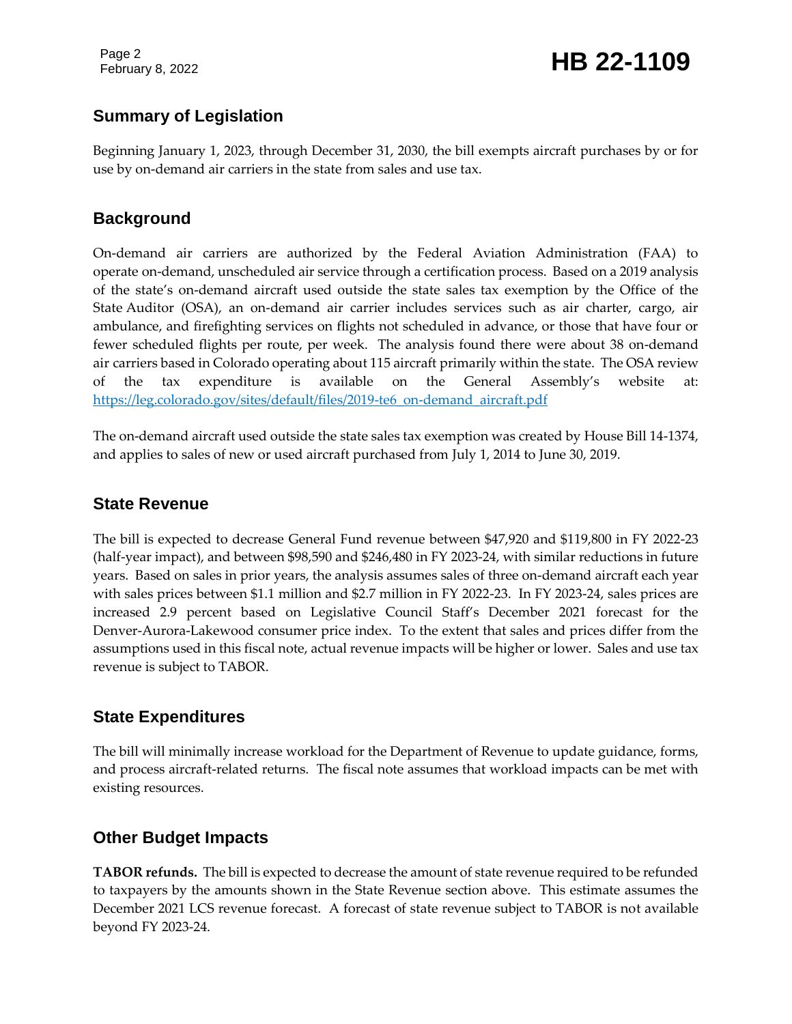Page 2

## February 8, 2022 **HB 22-1109**

### **Summary of Legislation**

Beginning January 1, 2023, through December 31, 2030, the bill exempts aircraft purchases by or for use by on-demand air carriers in the state from sales and use tax.

#### **Background**

On-demand air carriers are authorized by the Federal Aviation Administration (FAA) to operate on-demand, unscheduled air service through a certification process. Based on a 2019 analysis of the state's on-demand aircraft used outside the state sales tax exemption by the Office of the State Auditor (OSA), an on-demand air carrier includes services such as air charter, cargo, air ambulance, and firefighting services on flights not scheduled in advance, or those that have four or fewer scheduled flights per route, per week. The analysis found there were about 38 on-demand air carriers based in Colorado operating about 115 aircraft primarily within the state. The OSA review of the tax expenditure is available on the General Assembly's website at: [https://leg.colorado.gov/sites/default/files/2019-te6\\_on-demand\\_aircraft.pdf](https://leg.colorado.gov/sites/default/files/2019-te6_on-demand_aircraft.pdf)

The on-demand aircraft used outside the state sales tax exemption was created by House Bill 14-1374, and applies to sales of new or used aircraft purchased from July 1, 2014 to June 30, 2019.

#### **State Revenue**

The bill is expected to decrease General Fund revenue between \$47,920 and \$119,800 in FY 2022-23 (half-year impact), and between \$98,590 and \$246,480 in FY 2023-24, with similar reductions in future years. Based on sales in prior years, the analysis assumes sales of three on-demand aircraft each year with sales prices between \$1.1 million and \$2.7 million in FY 2022-23. In FY 2023-24, sales prices are increased 2.9 percent based on Legislative Council Staff's December 2021 forecast for the Denver-Aurora-Lakewood consumer price index. To the extent that sales and prices differ from the assumptions used in this fiscal note, actual revenue impacts will be higher or lower. Sales and use tax revenue is subject to TABOR.

#### **State Expenditures**

The bill will minimally increase workload for the Department of Revenue to update guidance, forms, and process aircraft-related returns. The fiscal note assumes that workload impacts can be met with existing resources.

### **Other Budget Impacts**

**TABOR refunds.** The bill is expected to decrease the amount of state revenue required to be refunded to taxpayers by the amounts shown in the State Revenue section above. This estimate assumes the December 2021 LCS revenue forecast. A forecast of state revenue subject to TABOR is not available beyond FY 2023-24.